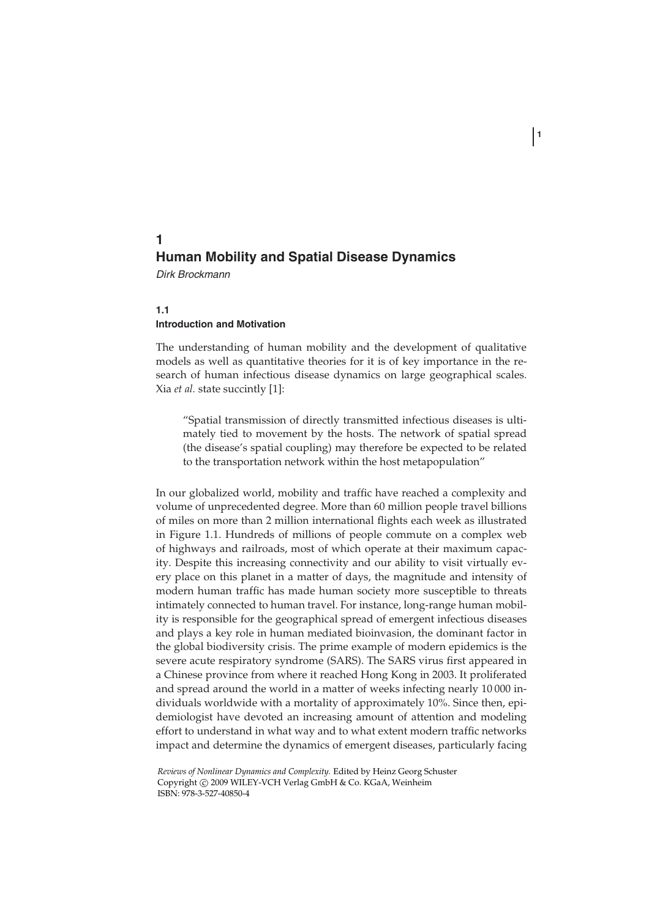# **1 Human Mobility and Spatial Disease Dynamics**

Dirk Brockmann

## **1.1 Introduction and Motivation**

The understanding of human mobility and the development of qualitative models as well as quantitative theories for it is of key importance in the research of human infectious disease dynamics on large geographical scales. Xia *et al.* state succintly [1]:

**1**

"Spatial transmission of directly transmitted infectious diseases is ultimately tied to movement by the hosts. The network of spatial spread (the disease's spatial coupling) may therefore be expected to be related to the transportation network within the host metapopulation"

In our globalized world, mobility and traffic have reached a complexity and volume of unprecedented degree. More than 60 million people travel billions of miles on more than 2 million international flights each week as illustrated in Figure 1.1. Hundreds of millions of people commute on a complex web of highways and railroads, most of which operate at their maximum capacity. Despite this increasing connectivity and our ability to visit virtually every place on this planet in a matter of days, the magnitude and intensity of modern human traffic has made human society more susceptible to threats intimately connected to human travel. For instance, long-range human mobility is responsible for the geographical spread of emergent infectious diseases and plays a key role in human mediated bioinvasion, the dominant factor in the global biodiversity crisis. The prime example of modern epidemics is the severe acute respiratory syndrome (SARS). The SARS virus first appeared in a Chinese province from where it reached Hong Kong in 2003. It proliferated and spread around the world in a matter of weeks infecting nearly 10 000 individuals worldwide with a mortality of approximately 10%. Since then, epidemiologist have devoted an increasing amount of attention and modeling effort to understand in what way and to what extent modern traffic networks impact and determine the dynamics of emergent diseases, particularly facing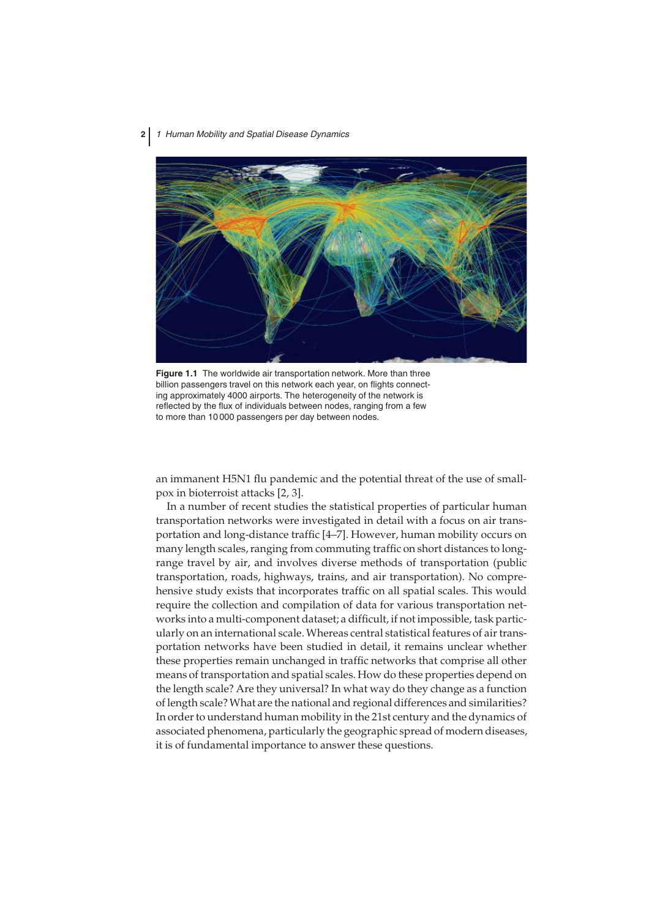

**Figure 1.1** The worldwide air transportation network. More than three billion passengers travel on this network each year, on flights connecting approximately 4000 airports. The heterogeneity of the network is reflected by the flux of individuals between nodes, ranging from a few to more than 10 000 passengers per day between nodes.

an immanent H5N1 flu pandemic and the potential threat of the use of smallpox in bioterroist attacks [2, 3].

In a number of recent studies the statistical properties of particular human transportation networks were investigated in detail with a focus on air transportation and long-distance traffic [4–7]. However, human mobility occurs on many length scales, ranging from commuting traffic on short distances to longrange travel by air, and involves diverse methods of transportation (public transportation, roads, highways, trains, and air transportation). No comprehensive study exists that incorporates traffic on all spatial scales. This would require the collection and compilation of data for various transportation networks into a multi-component dataset; a difficult, if not impossible, task particularly on an international scale. Whereas central statistical features of air transportation networks have been studied in detail, it remains unclear whether these properties remain unchanged in traffic networks that comprise all other means of transportation and spatial scales. How do these properties depend on the length scale? Are they universal? In what way do they change as a function of length scale?What are the national and regional differences and similarities? In order to understand human mobility in the 21st century and the dynamics of associated phenomena, particularly the geographic spread of modern diseases, it is of fundamental importance to answer these questions.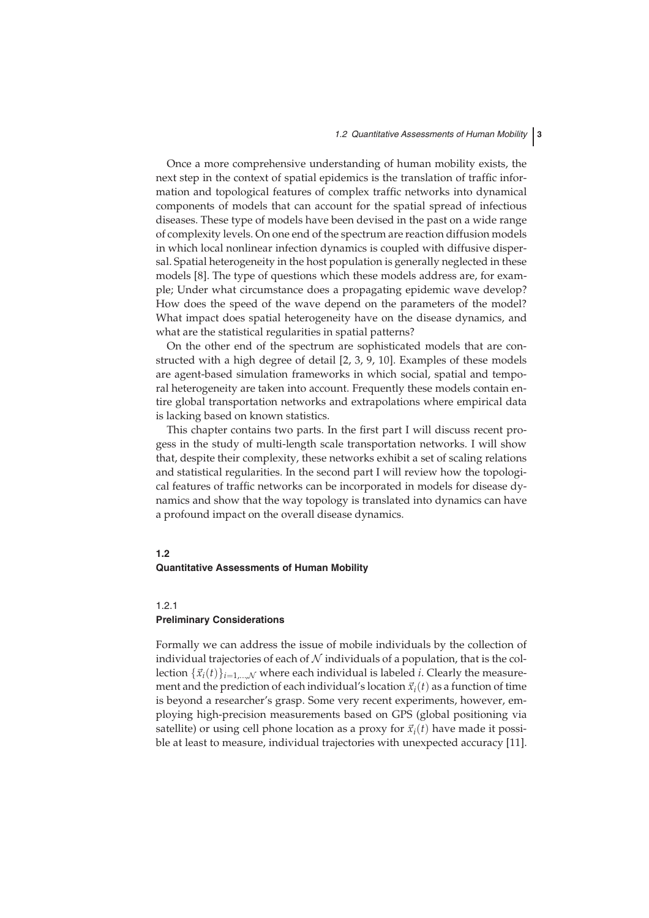Once a more comprehensive understanding of human mobility exists, the next step in the context of spatial epidemics is the translation of traffic information and topological features of complex traffic networks into dynamical components of models that can account for the spatial spread of infectious diseases. These type of models have been devised in the past on a wide range of complexity levels. On one end of the spectrum are reaction diffusion models in which local nonlinear infection dynamics is coupled with diffusive dispersal. Spatial heterogeneity in the host population is generally neglected in these models [8]. The type of questions which these models address are, for example; Under what circumstance does a propagating epidemic wave develop? How does the speed of the wave depend on the parameters of the model? What impact does spatial heterogeneity have on the disease dynamics, and what are the statistical regularities in spatial patterns?

On the other end of the spectrum are sophisticated models that are constructed with a high degree of detail [2, 3, 9, 10]. Examples of these models are agent-based simulation frameworks in which social, spatial and temporal heterogeneity are taken into account. Frequently these models contain entire global transportation networks and extrapolations where empirical data is lacking based on known statistics.

This chapter contains two parts. In the first part I will discuss recent progess in the study of multi-length scale transportation networks. I will show that, despite their complexity, these networks exhibit a set of scaling relations and statistical regularities. In the second part I will review how the topological features of traffic networks can be incorporated in models for disease dynamics and show that the way topology is translated into dynamics can have a profound impact on the overall disease dynamics.

## **1.2 Quantitative Assessments of Human Mobility**

#### 1.2.1 **Preliminary Considerations**

Formally we can address the issue of mobile individuals by the collection of individual trajectories of each of  $N$  individuals of a population, that is the collection  $\{\vec{x}_i(t)\}_{i=1,\dots,N}$  where each individual is labeled *i*. Clearly the measurement and the prediction of each individual's location  $\vec{x}_i(t)$  as a function of time is beyond a researcher's grasp. Some very recent experiments, however, employing high-precision measurements based on GPS (global positioning via satellite) or using cell phone location as a proxy for  $\vec{x}_i(t)$  have made it possible at least to measure, individual trajectories with unexpected accuracy [11].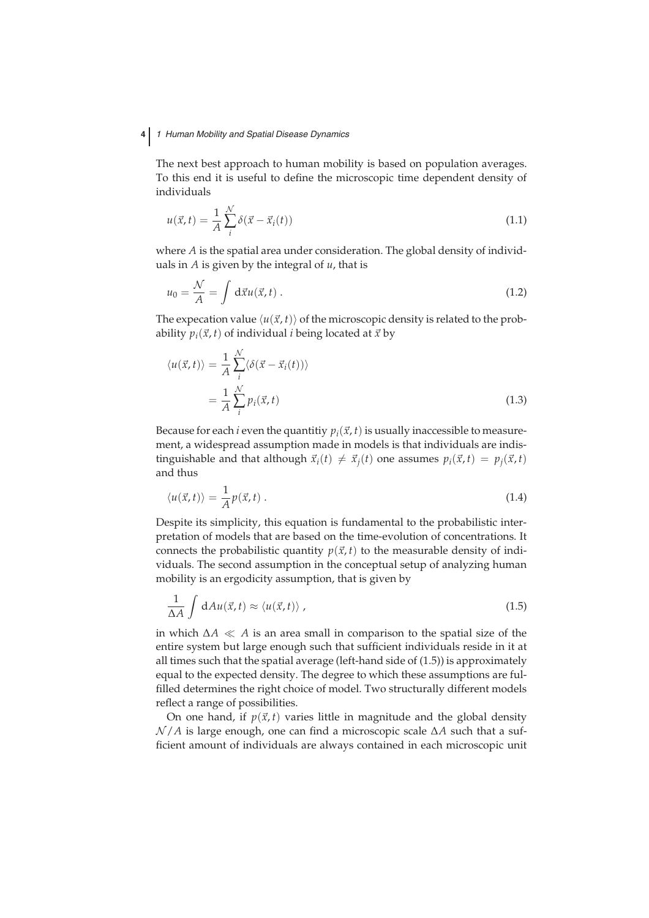# **4** 1 Human Mobility and Spatial Disease Dynamics

The next best approach to human mobility is based on population averages. To this end it is useful to define the microscopic time dependent density of individuals

$$
u(\vec{x},t) = \frac{1}{A} \sum_{i}^{N} \delta(\vec{x} - \vec{x}_i(t))
$$
\n(1.1)

where *A* is the spatial area under consideration. The global density of individuals in *A* is given by the integral of *u*, that is

$$
u_0 = \frac{\mathcal{N}}{A} = \int d\vec{x} u(\vec{x}, t) . \qquad (1.2)
$$

The expecation value  $\langle u(\vec{x},t) \rangle$  of the microscopic density is related to the probability  $p_i(\vec{x}, t)$  of individual *i* being located at  $\vec{x}$  by

$$
\langle u(\vec{x},t) \rangle = \frac{1}{A} \sum_{i}^{N} \langle \delta(\vec{x} - \vec{x}_i(t)) \rangle
$$
  
= 
$$
\frac{1}{A} \sum_{i}^{N} p_i(\vec{x},t)
$$
 (1.3)

Because for each *i* even the quantitiv  $p_i(\vec{x}, t)$  is usually inaccessible to measurement, a widespread assumption made in models is that individuals are indistinguishable and that although  $\vec{x}_i(t) \neq \vec{x}_i(t)$  one assumes  $p_i(\vec{x}, t) = p_i(\vec{x}, t)$ and thus

$$
\langle u(\vec{x},t)\rangle = \frac{1}{A}p(\vec{x},t) \tag{1.4}
$$

Despite its simplicity, this equation is fundamental to the probabilistic interpretation of models that are based on the time-evolution of concentrations. It connects the probabilistic quantity  $p(\vec{x}, t)$  to the measurable density of individuals. The second assumption in the conceptual setup of analyzing human mobility is an ergodicity assumption, that is given by

$$
\frac{1}{\Delta A} \int dAu(\vec{x}, t) \approx \langle u(\vec{x}, t) \rangle , \qquad (1.5)
$$

in which  $\Delta A \ll A$  is an area small in comparison to the spatial size of the entire system but large enough such that sufficient individuals reside in it at all times such that the spatial average (left-hand side of (1.5)) is approximately equal to the expected density. The degree to which these assumptions are fulfilled determines the right choice of model. Two structurally different models reflect a range of possibilities.

On one hand, if  $p(\vec{x}, t)$  varies little in magnitude and the global density N /*A* is large enough, one can find a microscopic scale ∆*A* such that a sufficient amount of individuals are always contained in each microscopic unit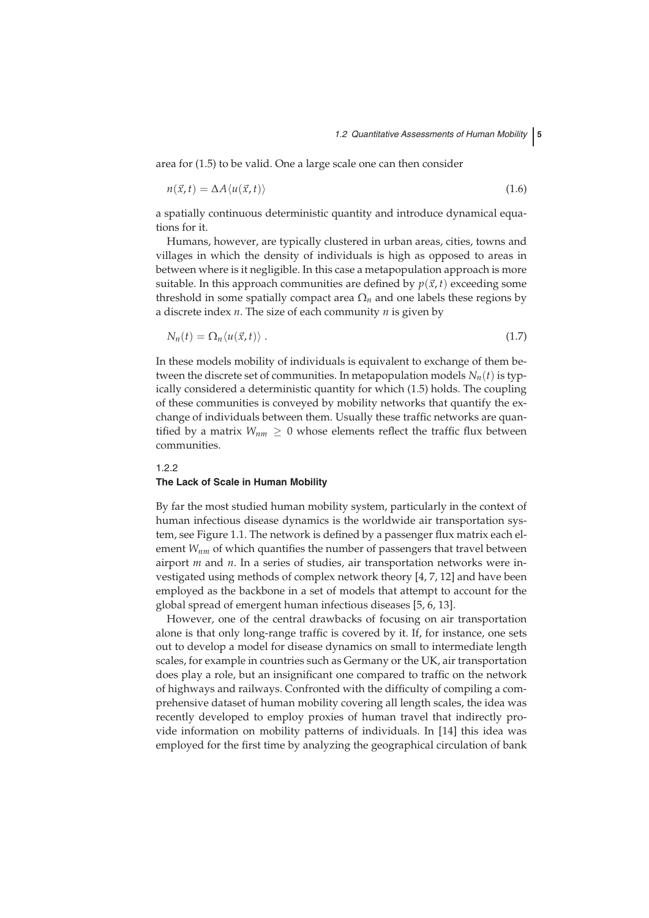area for (1.5) to be valid. One a large scale one can then consider

$$
n(\vec{x},t) = \Delta A \langle u(\vec{x},t) \rangle \tag{1.6}
$$

a spatially continuous deterministic quantity and introduce dynamical equations for it.

Humans, however, are typically clustered in urban areas, cities, towns and villages in which the density of individuals is high as opposed to areas in between where is it negligible. In this case a metapopulation approach is more suitable. In this approach communities are defined by  $p(\vec{x}, t)$  exceeding some threshold in some spatially compact area  $\Omega_n$  and one labels these regions by a discrete index *n*. The size of each community *n* is given by

$$
N_n(t) = \Omega_n \langle u(\vec{x}, t) \rangle \,. \tag{1.7}
$$

In these models mobility of individuals is equivalent to exchange of them between the discrete set of communities. In metapopulation models  $N_n(t)$  is typically considered a deterministic quantity for which (1.5) holds. The coupling of these communities is conveyed by mobility networks that quantify the exchange of individuals between them. Usually these traffic networks are quantified by a matrix  $W_{nm} \geq 0$  whose elements reflect the traffic flux between communities.

## 1.2.2

#### **The Lack of Scale in Human Mobility**

By far the most studied human mobility system, particularly in the context of human infectious disease dynamics is the worldwide air transportation system, see Figure 1.1. The network is defined by a passenger flux matrix each element *W<sub>nm</sub>* of which quantifies the number of passengers that travel between airport *m* and *n*. In a series of studies, air transportation networks were investigated using methods of complex network theory [4, 7, 12] and have been employed as the backbone in a set of models that attempt to account for the global spread of emergent human infectious diseases [5, 6, 13].

However, one of the central drawbacks of focusing on air transportation alone is that only long-range traffic is covered by it. If, for instance, one sets out to develop a model for disease dynamics on small to intermediate length scales, for example in countries such as Germany or the UK, air transportation does play a role, but an insignificant one compared to traffic on the network of highways and railways. Confronted with the difficulty of compiling a comprehensive dataset of human mobility covering all length scales, the idea was recently developed to employ proxies of human travel that indirectly provide information on mobility patterns of individuals. In [14] this idea was employed for the first time by analyzing the geographical circulation of bank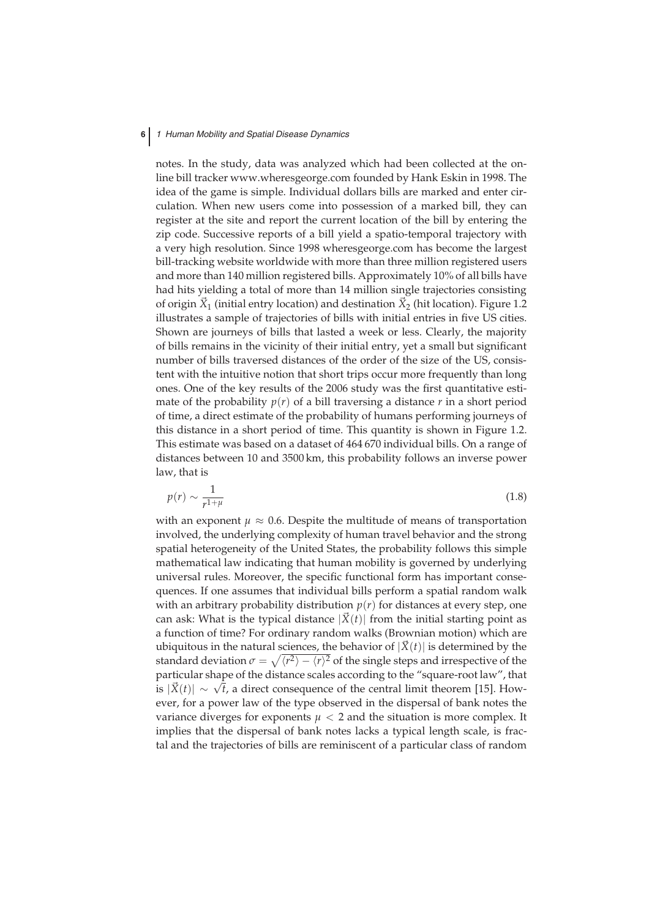notes. In the study, data was analyzed which had been collected at the online bill tracker www.wheresgeorge.com founded by Hank Eskin in 1998. The idea of the game is simple. Individual dollars bills are marked and enter circulation. When new users come into possession of a marked bill, they can register at the site and report the current location of the bill by entering the zip code. Successive reports of a bill yield a spatio-temporal trajectory with a very high resolution. Since 1998 wheresgeorge.com has become the largest bill-tracking website worldwide with more than three million registered users and more than 140 million registered bills. Approximately 10% of all bills have had hits yielding a total of more than 14 million single trajectories consisting of origin  $\vec{X}_1$  (initial entry location) and destination  $\vec{X}_2$  (hit location). Figure 1.2 illustrates a sample of trajectories of bills with initial entries in five US cities. Shown are journeys of bills that lasted a week or less. Clearly, the majority of bills remains in the vicinity of their initial entry, yet a small but significant number of bills traversed distances of the order of the size of the US, consistent with the intuitive notion that short trips occur more frequently than long ones. One of the key results of the 2006 study was the first quantitative estimate of the probability  $p(r)$  of a bill traversing a distance  $r$  in a short period of time, a direct estimate of the probability of humans performing journeys of this distance in a short period of time. This quantity is shown in Figure 1.2. This estimate was based on a dataset of 464 670 individual bills. On a range of distances between 10 and 3500 km, this probability follows an inverse power law, that is

$$
p(r) \sim \frac{1}{r^{1+\mu}}\tag{1.8}
$$

with an exponent  $\mu \approx 0.6$ . Despite the multitude of means of transportation involved, the underlying complexity of human travel behavior and the strong spatial heterogeneity of the United States, the probability follows this simple mathematical law indicating that human mobility is governed by underlying universal rules. Moreover, the specific functional form has important consequences. If one assumes that individual bills perform a spatial random walk with an arbitrary probability distribution  $p(r)$  for distances at every step, one can ask: What is the typical distance  $|\vec{X}(t)|$  from the initial starting point as a function of time? For ordinary random walks (Brownian motion) which are ubiquitous in the natural sciences, the behavior of  $|\vec{X}(t)|$  is determined by the standard deviation  $\sigma = \sqrt{\langle r^2 \rangle - \langle r \rangle^2}$  of the single steps and irrespective of the particular shape of the distance scales according to the "square-root law", that is  $|X(t)| \sim √t$ , a direct consequence of the central limit theorem [15]. However, for a power law of the type observed in the dispersal of bank notes the variance diverges for exponents  $\mu < 2$  and the situation is more complex. It implies that the dispersal of bank notes lacks a typical length scale, is fractal and the trajectories of bills are reminiscent of a particular class of random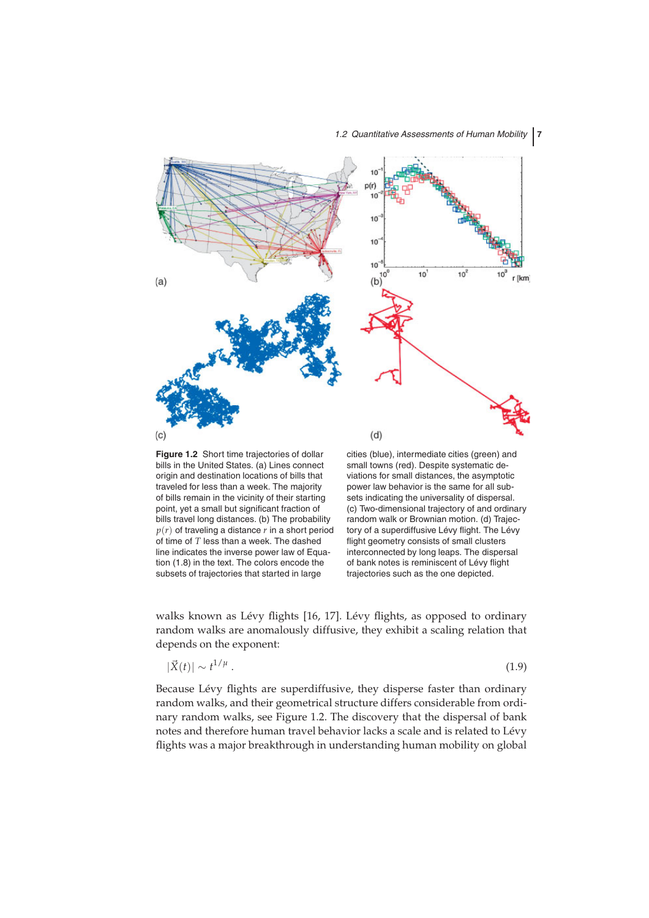

bills in the United States. (a) Lines connect origin and destination locations of bills that traveled for less than a week. The majority of bills remain in the vicinity of their starting point, yet a small but significant fraction of bills travel long distances. (b) The probability  $p(r)$  of traveling a distance  $r$  in a short period of time of *T* less than a week. The dashed line indicates the inverse power law of Equation (1.8) in the text. The colors encode the subsets of trajectories that started in large

small towns (red). Despite systematic deviations for small distances, the asymptotic power law behavior is the same for all subsets indicating the universality of dispersal. (c) Two-dimensional trajectory of and ordinary random walk or Brownian motion. (d) Trajectory of a superdiffusive Lévy flight. The Lévy flight geometry consists of small clusters interconnected by long leaps. The dispersal of bank notes is reminiscent of Lévy flight trajectories such as the one depicted.

walks known as Lévy flights [16, 17]. Lévy flights, as opposed to ordinary random walks are anomalously diffusive, they exhibit a scaling relation that depends on the exponent:

$$
|\vec{X}(t)| \sim t^{1/\mu} \,. \tag{1.9}
$$

Because Lévy flights are superdiffusive, they disperse faster than ordinary random walks, and their geometrical structure differs considerable from ordinary random walks, see Figure 1.2. The discovery that the dispersal of bank notes and therefore human travel behavior lacks a scale and is related to Lévy flights was a major breakthrough in understanding human mobility on global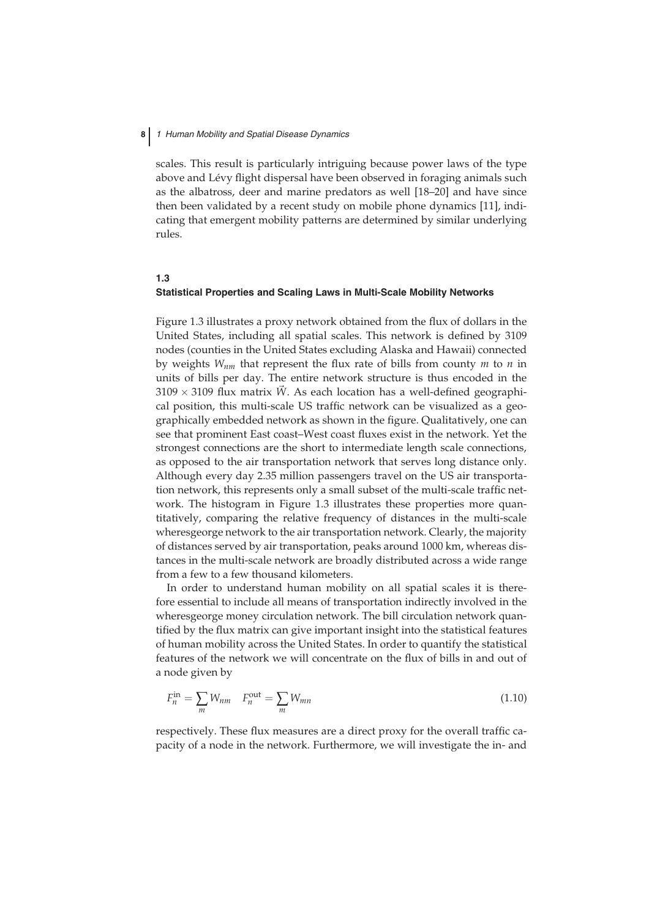scales. This result is particularly intriguing because power laws of the type above and Lévy flight dispersal have been observed in foraging animals such as the albatross, deer and marine predators as well [18–20] and have since then been validated by a recent study on mobile phone dynamics [11], indicating that emergent mobility patterns are determined by similar underlying rules.

## **1.3 Statistical Properties and Scaling Laws in Multi-Scale Mobility Networks**

Figure 1.3 illustrates a proxy network obtained from the flux of dollars in the United States, including all spatial scales. This network is defined by 3109 nodes (counties in the United States excluding Alaska and Hawaii) connected by weights *Wnm* that represent the flux rate of bills from county *m* to *n* in units of bills per day. The entire network structure is thus encoded in the  $3109 \times 3109$  flux matrix  $\tilde{W}$ . As each location has a well-defined geographical position, this multi-scale US traffic network can be visualized as a geographically embedded network as shown in the figure. Qualitatively, one can see that prominent East coast–West coast fluxes exist in the network. Yet the strongest connections are the short to intermediate length scale connections, as opposed to the air transportation network that serves long distance only. Although every day 2.35 million passengers travel on the US air transportation network, this represents only a small subset of the multi-scale traffic network. The histogram in Figure 1.3 illustrates these properties more quantitatively, comparing the relative frequency of distances in the multi-scale wheresgeorge network to the air transportation network. Clearly, the majority of distances served by air transportation, peaks around 1000 km, whereas distances in the multi-scale network are broadly distributed across a wide range from a few to a few thousand kilometers.

In order to understand human mobility on all spatial scales it is therefore essential to include all means of transportation indirectly involved in the wheresgeorge money circulation network. The bill circulation network quantified by the flux matrix can give important insight into the statistical features of human mobility across the United States. In order to quantify the statistical features of the network we will concentrate on the flux of bills in and out of a node given by

$$
F_n^{\text{in}} = \sum_m W_{nm} \quad F_n^{\text{out}} = \sum_m W_{mn} \tag{1.10}
$$

respectively. These flux measures are a direct proxy for the overall traffic capacity of a node in the network. Furthermore, we will investigate the in- and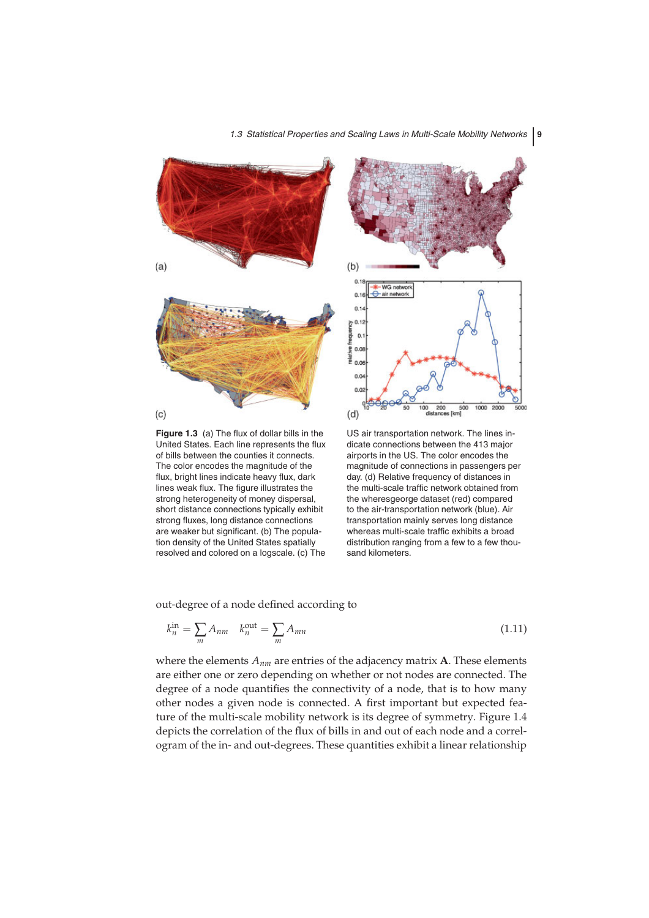



**Figure 1.3** (a) The flux of dollar bills in the United States. Each line represents the flux of bills between the counties it connects. The color encodes the magnitude of the flux, bright lines indicate heavy flux, dark lines weak flux. The figure illustrates the strong heterogeneity of money dispersal, short distance connections typically exhibit strong fluxes, long distance connections are weaker but significant. (b) The population density of the United States spatially resolved and colored on a logscale. (c) The



US air transportation network. The lines indicate connections between the 413 major airports in the US. The color encodes the magnitude of connections in passengers per day. (d) Relative frequency of distances in the multi-scale traffic network obtained from the wheresgeorge dataset (red) compared to the air-transportation network (blue). Air transportation mainly serves long distance whereas multi-scale traffic exhibits a broad distribution ranging from a few to a few thousand kilometers.

out-degree of a node defined according to

$$
k_n^{\text{in}} = \sum_{m} A_{nm} \quad k_n^{\text{out}} = \sum_{m} A_{mn} \tag{1.11}
$$

where the elements *Anm* are entries of the adjacency matrix **A**. These elements are either one or zero depending on whether or not nodes are connected. The degree of a node quantifies the connectivity of a node, that is to how many other nodes a given node is connected. A first important but expected feature of the multi-scale mobility network is its degree of symmetry. Figure 1.4 depicts the correlation of the flux of bills in and out of each node and a correlogram of the in- and out-degrees. These quantities exhibit a linear relationship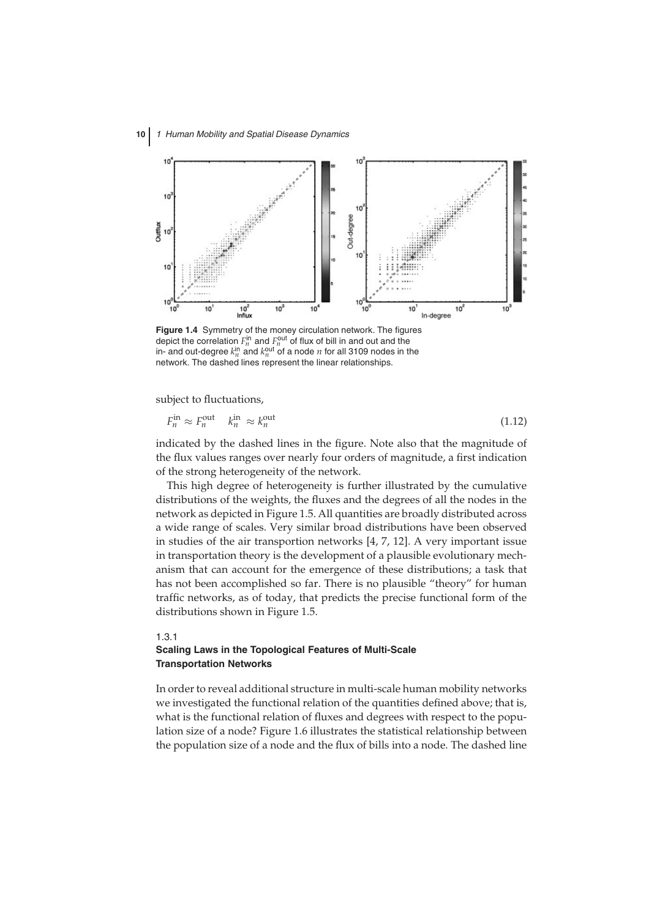

**Figure 1.4** Symmetry of the money circulation network. The figures depict the correlation  $F_n^{\text{in}}$  and  $F_n^{\text{out}}$  of flux of bill in and out and the in- and out-degree  $k_n^{\text{in}}$  and  $k_n^{\text{out}}$  of a node  $n$  for all 3109 nodes in the network. The dashed lines represent the linear relationships.

subject to fluctuations,

$$
F_n^{\text{in}} \approx F_n^{\text{out}} \quad k_n^{\text{in}} \approx k_n^{\text{out}} \tag{1.12}
$$

indicated by the dashed lines in the figure. Note also that the magnitude of the flux values ranges over nearly four orders of magnitude, a first indication of the strong heterogeneity of the network.

This high degree of heterogeneity is further illustrated by the cumulative distributions of the weights, the fluxes and the degrees of all the nodes in the network as depicted in Figure 1.5. All quantities are broadly distributed across a wide range of scales. Very similar broad distributions have been observed in studies of the air transportion networks [4, 7, 12]. A very important issue in transportation theory is the development of a plausible evolutionary mechanism that can account for the emergence of these distributions; a task that has not been accomplished so far. There is no plausible "theory" for human traffic networks, as of today, that predicts the precise functional form of the distributions shown in Figure 1.5.

#### 1.3.1 **Scaling Laws in the Topological Features of Multi-Scale Transportation Networks**

In order to reveal additional structure in multi-scale human mobility networks we investigated the functional relation of the quantities defined above; that is, what is the functional relation of fluxes and degrees with respect to the population size of a node? Figure 1.6 illustrates the statistical relationship between the population size of a node and the flux of bills into a node. The dashed line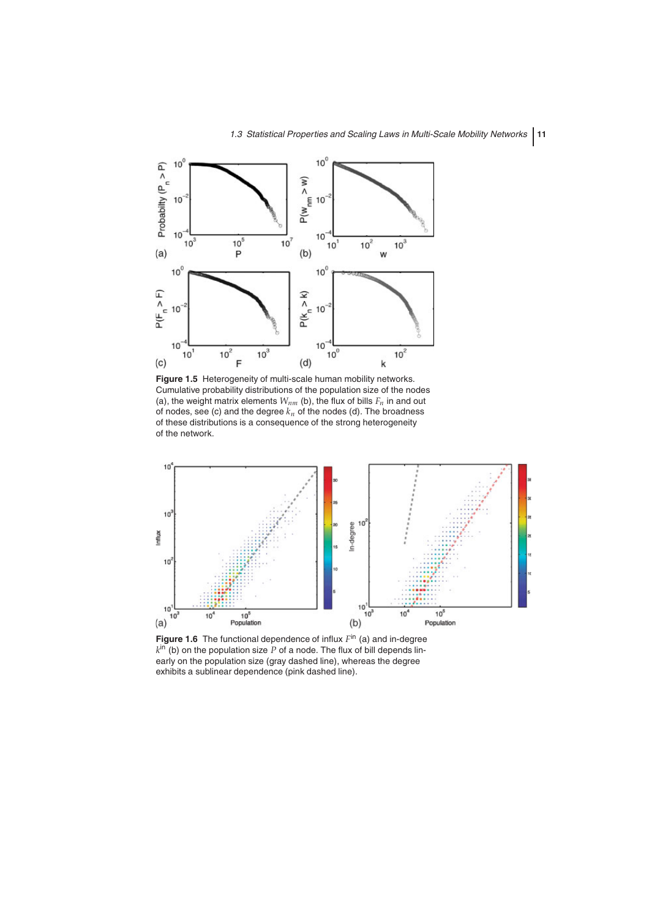

**Figure 1.5** Heterogeneity of multi-scale human mobility networks. Cumulative probability distributions of the population size of the nodes (a), the weight matrix elements  $W_{nm}$  (b), the flux of bills  $F_n$  in and out of nodes, see (c) and the degree  $k_n$  of the nodes (d). The broadness of these distributions is a consequence of the strong heterogeneity of the network.



**Figure 1.6** The functional dependence of influx *F*in (a) and in-degree  $k^{\text{in}}$  (b) on the population size P of a node. The flux of bill depends linearly on the population size (gray dashed line), whereas the degree exhibits a sublinear dependence (pink dashed line).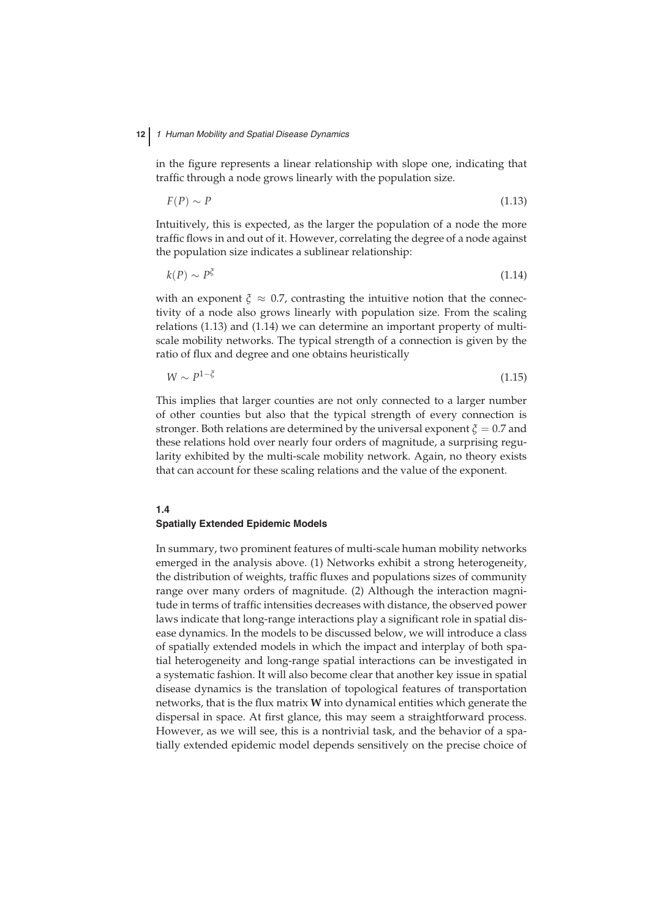in the figure represents a linear relationship with slope one, indicating that traffic through a node grows linearly with the population size.

 $F(P) \sim P$  (1.13)

Intuitively, this is expected, as the larger the population of a node the more traffic flows in and out of it. However, correlating the degree of a node against the population size indicates a sublinear relationship:

 $k(P) \sim P^{\xi}$  (1.14)

with an exponent  $\xi \approx 0.7$ , contrasting the intuitive notion that the connectivity of a node also grows linearly with population size. From the scaling relations (1.13) and (1.14) we can determine an important property of multiscale mobility networks. The typical strength of a connection is given by the ratio of flux and degree and one obtains heuristically

$$
W \sim P^{1-\xi} \tag{1.15}
$$

This implies that larger counties are not only connected to a larger number of other counties but also that the typical strength of every connection is stronger. Both relations are determined by the universal exponent *ξ* = 0.7 and these relations hold over nearly four orders of magnitude, a surprising regularity exhibited by the multi-scale mobility network. Again, no theory exists that can account for these scaling relations and the value of the exponent.

## **1.4 Spatially Extended Epidemic Models**

In summary, two prominent features of multi-scale human mobility networks emerged in the analysis above. (1) Networks exhibit a strong heterogeneity, the distribution of weights, traffic fluxes and populations sizes of community range over many orders of magnitude. (2) Although the interaction magnitude in terms of traffic intensities decreases with distance, the observed power laws indicate that long-range interactions play a significant role in spatial disease dynamics. In the models to be discussed below, we will introduce a class of spatially extended models in which the impact and interplay of both spatial heterogeneity and long-range spatial interactions can be investigated in a systematic fashion. It will also become clear that another key issue in spatial disease dynamics is the translation of topological features of transportation networks, that is the flux matrix **W** into dynamical entities which generate the dispersal in space. At first glance, this may seem a straightforward process. However, as we will see, this is a nontrivial task, and the behavior of a spatially extended epidemic model depends sensitively on the precise choice of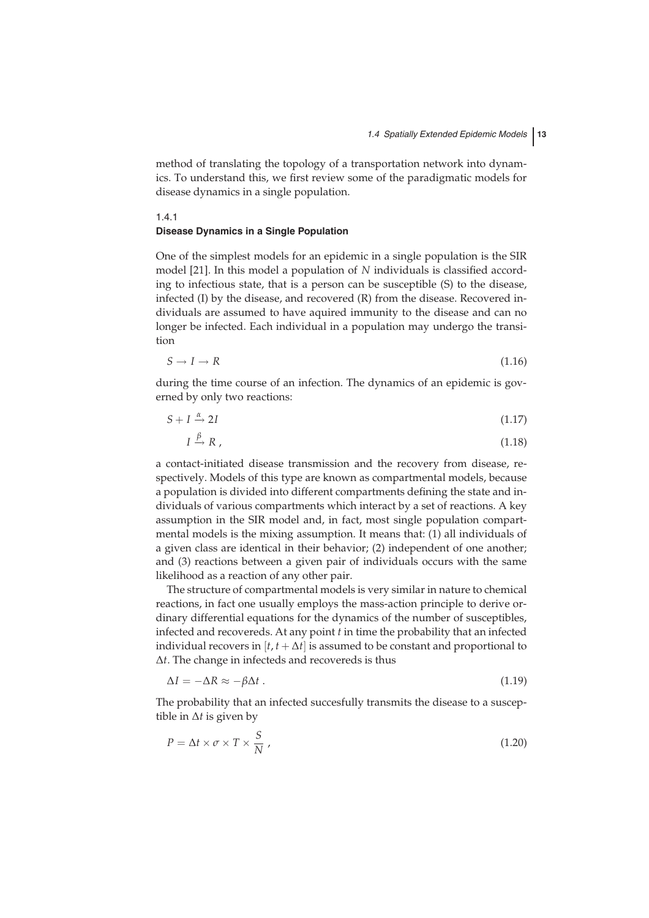method of translating the topology of a transportation network into dynamics. To understand this, we first review some of the paradigmatic models for disease dynamics in a single population.

#### 1.4.1 **Disease Dynamics in a Single Population**

One of the simplest models for an epidemic in a single population is the SIR model [21]. In this model a population of *N* individuals is classified according to infectious state, that is a person can be susceptible (S) to the disease, infected (I) by the disease, and recovered (R) from the disease. Recovered individuals are assumed to have aquired immunity to the disease and can no longer be infected. Each individual in a population may undergo the transition

$$
S \to I \to R \tag{1.16}
$$

during the time course of an infection. The dynamics of an epidemic is governed by only two reactions:

$$
S + I \xrightarrow{\alpha} 2I \tag{1.17}
$$

$$
I \xrightarrow{\beta} R \tag{1.18}
$$

a contact-initiated disease transmission and the recovery from disease, respectively. Models of this type are known as compartmental models, because a population is divided into different compartments defining the state and individuals of various compartments which interact by a set of reactions. A key assumption in the SIR model and, in fact, most single population compartmental models is the mixing assumption. It means that: (1) all individuals of a given class are identical in their behavior; (2) independent of one another; and (3) reactions between a given pair of individuals occurs with the same likelihood as a reaction of any other pair.

The structure of compartmental models is very similar in nature to chemical reactions, in fact one usually employs the mass-action principle to derive ordinary differential equations for the dynamics of the number of susceptibles, infected and recovereds. At any point *t* in time the probability that an infected individual recovers in  $[t, t + \Delta t]$  is assumed to be constant and proportional to ∆*t*. The change in infecteds and recovereds is thus

$$
\Delta I = -\Delta R \approx -\beta \Delta t \tag{1.19}
$$

The probability that an infected succesfully transmits the disease to a susceptible in ∆*t* is given by

$$
P = \Delta t \times \sigma \times T \times \frac{S}{N} \tag{1.20}
$$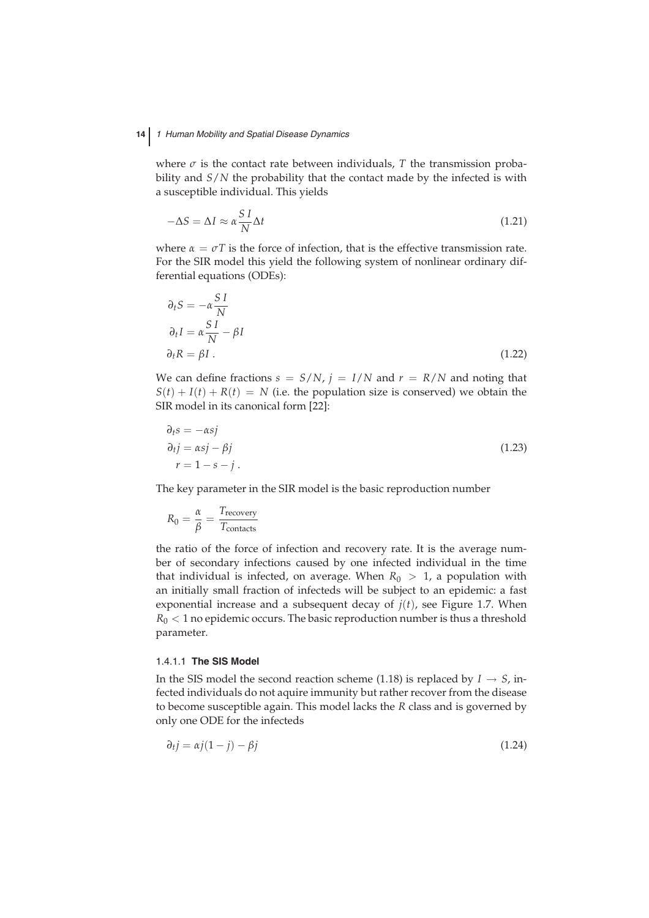where  $\sigma$  is the contact rate between individuals,  $T$  the transmission probability and *S*/*N* the probability that the contact made by the infected is with a susceptible individual. This yields

$$
-\Delta S = \Delta I \approx \alpha \frac{S I}{N} \Delta t \tag{1.21}
$$

where  $\alpha = \sigma T$  is the force of infection, that is the effective transmission rate. For the SIR model this yield the following system of nonlinear ordinary differential equations (ODEs):

$$
\partial_t S = -\alpha \frac{S I}{N}
$$
  
\n
$$
\partial_t I = \alpha \frac{S I}{N} - \beta I
$$
  
\n
$$
\partial_t R = \beta I.
$$
\n(1.22)

We can define fractions  $s = S/N$ ,  $j = I/N$  and  $r = R/N$  and noting that  $S(t) + I(t) + R(t) = N$  (i.e. the population size is conserved) we obtain the SIR model in its canonical form [22]:

$$
\partial_t s = -\alpha s j \n\partial_t j = \alpha s j - \beta j \nr = 1 - s - j.
$$
\n(1.23)

The key parameter in the SIR model is the basic reproduction number

$$
R_0 = \frac{\alpha}{\beta} = \frac{T_{\text{recovery}}}{T_{\text{contacts}}}
$$

the ratio of the force of infection and recovery rate. It is the average number of secondary infections caused by one infected individual in the time that individual is infected, on average. When  $R_0 > 1$ , a population with an initially small fraction of infecteds will be subject to an epidemic: a fast exponential increase and a subsequent decay of  $j(t)$ , see Figure 1.7. When  $R_0$  < 1 no epidemic occurs. The basic reproduction number is thus a threshold parameter.

#### 1.4.1.1 **The SIS Model**

In the SIS model the second reaction scheme (1.18) is replaced by  $I \rightarrow S$ , infected individuals do not aquire immunity but rather recover from the disease to become susceptible again. This model lacks the *R* class and is governed by only one ODE for the infecteds

$$
\partial_t j = \alpha j (1 - j) - \beta j \tag{1.24}
$$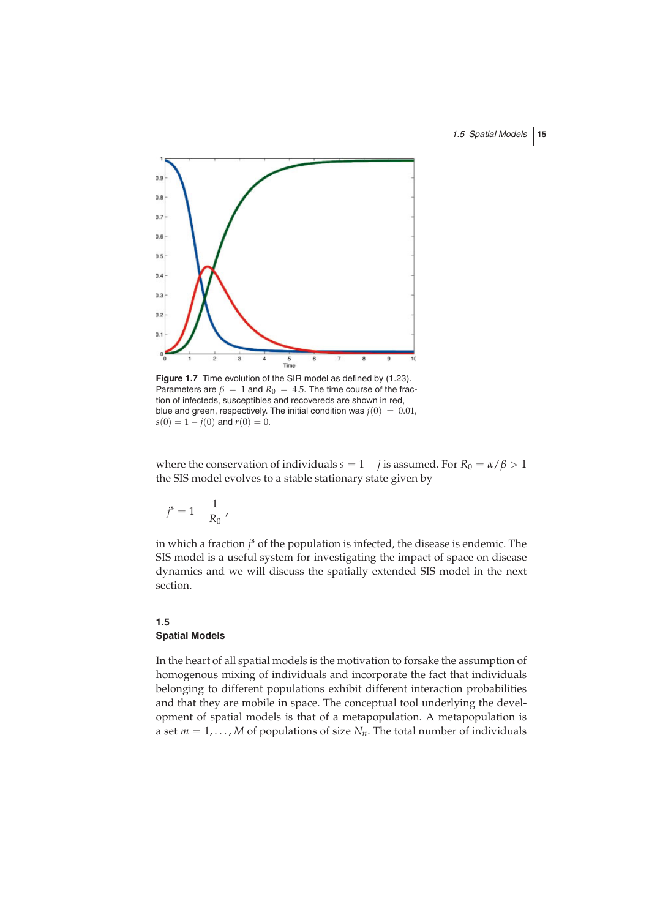

**Figure 1.7** Time evolution of the SIR model as defined by (1.23). Parameters are  $\beta = 1$  and  $R_0 = 4.5$ . The time course of the fraction of infecteds, susceptibles and recovereds are shown in red, blue and green, respectively. The initial condition was  $j(0) = 0.01$ ,  $s(0) = 1 - j(0)$  and  $r(0) = 0$ .

where the conservation of individuals  $s = 1 - j$  is assumed. For  $R_0 = \alpha/\beta > 1$ the SIS model evolves to a stable stationary state given by

$$
j^{\rm s} = 1 - \frac{1}{R_0} \; ,
$$

in which a fraction *j* <sup>s</sup> of the population is infected, the disease is endemic. The SIS model is a useful system for investigating the impact of space on disease dynamics and we will discuss the spatially extended SIS model in the next section.

## **1.5 Spatial Models**

In the heart of all spatial models is the motivation to forsake the assumption of homogenous mixing of individuals and incorporate the fact that individuals belonging to different populations exhibit different interaction probabilities and that they are mobile in space. The conceptual tool underlying the development of spatial models is that of a metapopulation. A metapopulation is a set  $m = 1, \ldots, M$  of populations of size  $N_n$ . The total number of individuals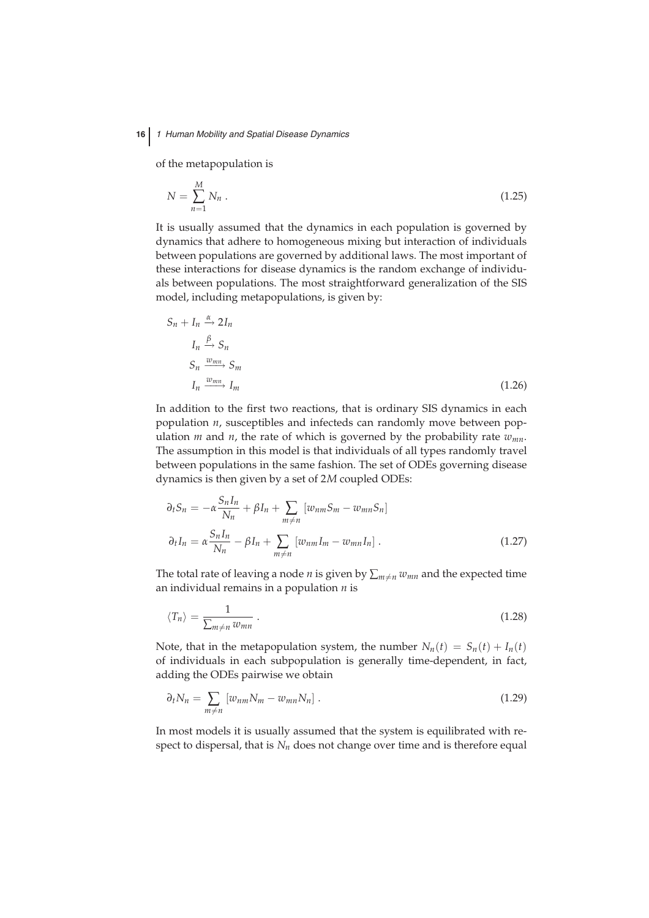of the metapopulation is

$$
N = \sum_{n=1}^{M} N_n \tag{1.25}
$$

It is usually assumed that the dynamics in each population is governed by dynamics that adhere to homogeneous mixing but interaction of individuals between populations are governed by additional laws. The most important of these interactions for disease dynamics is the random exchange of individuals between populations. The most straightforward generalization of the SIS model, including metapopulations, is given by:

$$
S_n + I_n \xrightarrow{\alpha} 2I_n
$$
  
\n
$$
I_n \xrightarrow{\beta} S_n
$$
  
\n
$$
S_n \xrightarrow{w_{mn}} S_m
$$
  
\n
$$
I_n \xrightarrow{w_{mn}} I_m
$$
\n(1.26)

In addition to the first two reactions, that is ordinary SIS dynamics in each population *n*, susceptibles and infecteds can randomly move between population  $m$  and  $n$ , the rate of which is governed by the probability rate  $w_{mn}$ . The assumption in this model is that individuals of all types randomly travel between populations in the same fashion. The set of ODEs governing disease dynamics is then given by a set of 2*M* coupled ODEs:

$$
\partial_t S_n = -\alpha \frac{S_n I_n}{N_n} + \beta I_n + \sum_{m \neq n} \left[ w_{nm} S_m - w_{mn} S_n \right]
$$
  

$$
\partial_t I_n = \alpha \frac{S_n I_n}{N_n} - \beta I_n + \sum_{m \neq n} \left[ w_{nm} I_m - w_{mn} I_n \right].
$$
 (1.27)

The total rate of leaving a node *n* is given by  $\sum_{m \neq n} w_{mn}$  and the expected time an individual remains in a population *n* is

$$
\langle T_n \rangle = \frac{1}{\sum_{m \neq n} w_{mn}} \,. \tag{1.28}
$$

Note, that in the metapopulation system, the number  $N_n(t) = S_n(t) + I_n(t)$ of individuals in each subpopulation is generally time-dependent, in fact, adding the ODEs pairwise we obtain

$$
\partial_t N_n = \sum_{m \neq n} \left[ w_{nm} N_m - w_{mn} N_n \right]. \tag{1.29}
$$

In most models it is usually assumed that the system is equilibrated with respect to dispersal, that is  $N_n$  does not change over time and is therefore equal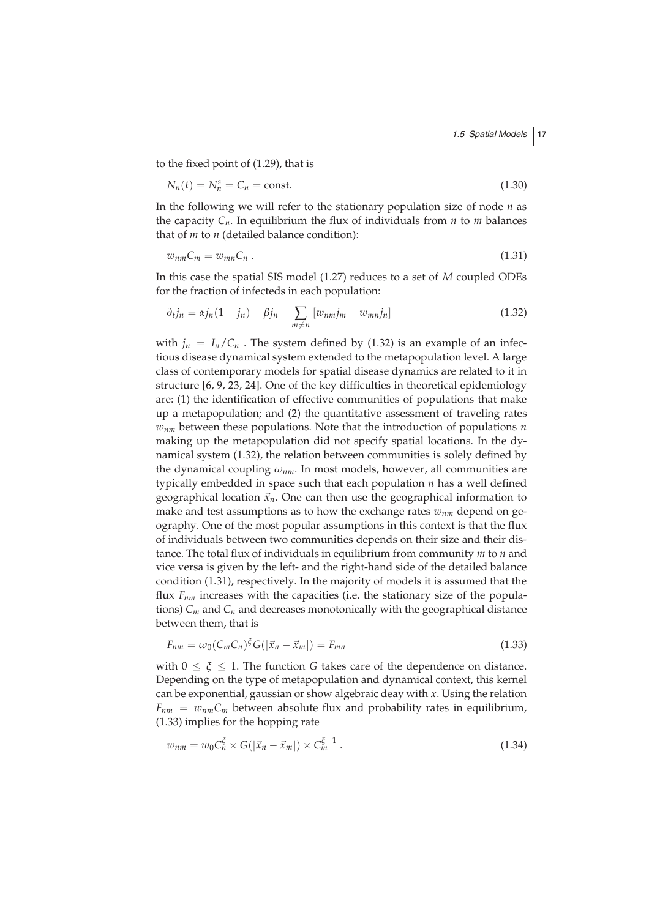to the fixed point of (1.29), that is

$$
N_n(t) = N_n^s = C_n = \text{const.}\tag{1.30}
$$

In the following we will refer to the stationary population size of node *n* as the capacity  $C_n$ . In equilibrium the flux of individuals from *n* to *m* balances that of *m* to *n* (detailed balance condition):

$$
w_{nm}C_m = w_{mn}C_n \tag{1.31}
$$

In this case the spatial SIS model (1.27) reduces to a set of *M* coupled ODEs for the fraction of infecteds in each population:

$$
\partial_{t}j_{n} = \alpha j_{n}(1 - j_{n}) - \beta j_{n} + \sum_{m \neq n} [w_{nm}j_{m} - w_{mn}j_{n}] \qquad (1.32)
$$

with  $j_n = I_n/C_n$ . The system defined by (1.32) is an example of an infectious disease dynamical system extended to the metapopulation level. A large class of contemporary models for spatial disease dynamics are related to it in structure [6, 9, 23, 24]. One of the key difficulties in theoretical epidemiology are: (1) the identification of effective communities of populations that make up a metapopulation; and (2) the quantitative assessment of traveling rates *wnm* between these populations. Note that the introduction of populations *n* making up the metapopulation did not specify spatial locations. In the dynamical system (1.32), the relation between communities is solely defined by the dynamical coupling  $\omega_{nm}$ . In most models, however, all communities are typically embedded in space such that each population *n* has a well defined geographical location  $\vec{x}_n$ . One can then use the geographical information to make and test assumptions as to how the exchange rates  $w_{nm}$  depend on geography. One of the most popular assumptions in this context is that the flux of individuals between two communities depends on their size and their distance. The total flux of individuals in equilibrium from community *m* to *n* and vice versa is given by the left- and the right-hand side of the detailed balance condition (1.31), respectively. In the majority of models it is assumed that the flux  $F_{nm}$  increases with the capacities (i.e. the stationary size of the populations)  $C_m$  and  $C_n$  and decreases monotonically with the geographical distance between them, that is

$$
F_{nm} = \omega_0 (C_m C_n)^{\xi} G(|\vec{x}_n - \vec{x}_m|) = F_{mn}
$$
\n(1.33)

with  $0 \leq \xi \leq 1$ . The function *G* takes care of the dependence on distance. Depending on the type of metapopulation and dynamical context, this kernel can be exponential, gaussian or show algebraic deay with *x*. Using the relation  $F_{nm} = w_{nm}C_m$  between absolute flux and probability rates in equilibrium, (1.33) implies for the hopping rate

$$
w_{nm} = w_0 C_n^{\xi} \times G(|\vec{x}_n - \vec{x}_m|) \times C_m^{\xi - 1} . \qquad (1.34)
$$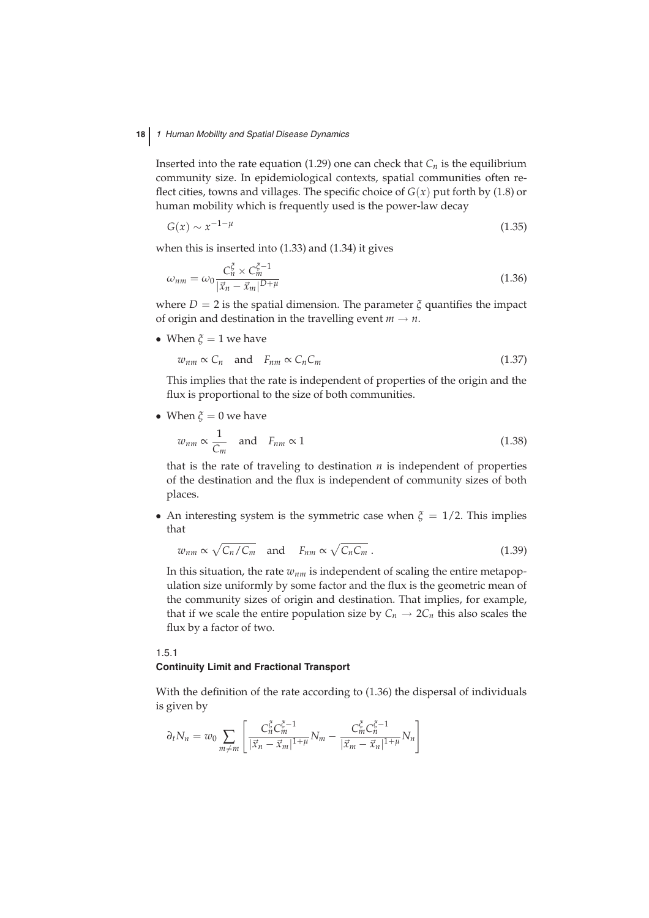Inserted into the rate equation (1.29) one can check that  $C_n$  is the equilibrium community size. In epidemiological contexts, spatial communities often reflect cities, towns and villages. The specific choice of  $G(x)$  put forth by (1.8) or human mobility which is frequently used is the power-law decay

$$
G(x) \sim x^{-1-\mu} \tag{1.35}
$$

when this is inserted into (1.33) and (1.34) it gives

$$
\omega_{nm} = \omega_0 \frac{C_n^{\xi} \times C_m^{\xi - 1}}{|\vec{x}_n - \vec{x}_m|^{D + \mu}}
$$
\n(1.36)

where  $D = 2$  is the spatial dimension. The parameter  $\zeta$  quantifies the impact of origin and destination in the travelling event  $m \rightarrow n$ .

• When  $\xi = 1$  we have

$$
w_{nm} \propto C_n \quad \text{and} \quad F_{nm} \propto C_n C_m \tag{1.37}
$$

This implies that the rate is independent of properties of the origin and the flux is proportional to the size of both communities.

• When  $\xi = 0$  we have

$$
w_{nm} \propto \frac{1}{C_m} \quad \text{and} \quad F_{nm} \propto 1 \tag{1.38}
$$

that is the rate of traveling to destination *n* is independent of properties of the destination and the flux is independent of community sizes of both places.

• An interesting system is the symmetric case when  $\xi = 1/2$ . This implies that

$$
w_{nm} \propto \sqrt{C_n/C_m} \quad \text{and} \quad F_{nm} \propto \sqrt{C_n C_m} \,. \tag{1.39}
$$

In this situation, the rate  $w_{nm}$  is independent of scaling the entire metapopulation size uniformly by some factor and the flux is the geometric mean of the community sizes of origin and destination. That implies, for example, that if we scale the entire population size by  $C_n \to 2C_n$  this also scales the flux by a factor of two.

#### 1.5.1 **Continuity Limit and Fractional Transport**

With the definition of the rate according to (1.36) the dispersal of individuals is given by

$$
\partial_t N_n = w_0 \sum_{m \neq m} \left[ \frac{C_n^{\xi} C_m^{\xi - 1}}{|\vec{x}_n - \vec{x}_m|^{1 + \mu}} N_m - \frac{C_m^{\xi} C_n^{\xi - 1}}{|\vec{x}_m - \vec{x}_n|^{1 + \mu}} N_n \right]
$$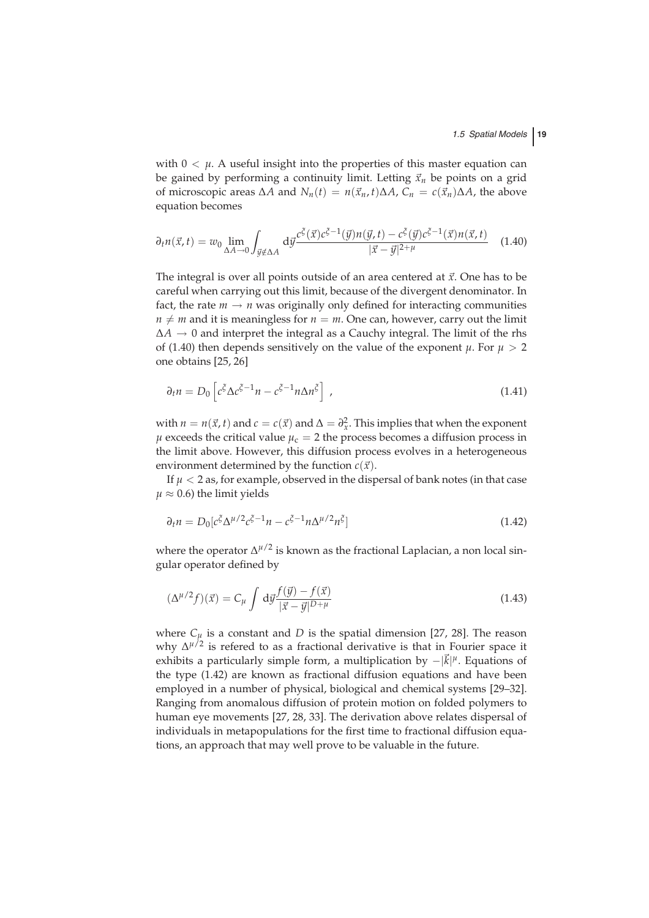with  $0 < \mu$ . A useful insight into the properties of this master equation can be gained by performing a continuity limit. Letting  $\vec{x}_n$  be points on a grid of microscopic areas  $\Delta A$  and  $N_n(t) = n(\vec{x}_n, t)\Delta A$ ,  $C_n = c(\vec{x}_n)\Delta A$ , the above equation becomes

$$
\partial_t n(\vec{x}, t) = w_0 \lim_{\Delta A \to 0} \int_{\vec{y} \notin \Delta A} d\vec{y} \frac{c^{\zeta}(\vec{x}) c^{\zeta - 1}(\vec{y}) n(\vec{y}, t) - c^{\zeta}(\vec{y}) c^{\zeta - 1}(\vec{x}) n(\vec{x}, t)}{|\vec{x} - \vec{y}|^{2 + \mu}} \quad (1.40)
$$

The integral is over all points outside of an area centered at *x*. One has to be careful when carrying out this limit, because of the divergent denominator. In fact, the rate  $m \to n$  was originally only defined for interacting communities  $n \neq m$  and it is meaningless for  $n = m$ . One can, however, carry out the limit  $\Delta A \rightarrow 0$  and interpret the integral as a Cauchy integral. The limit of the rhs of (1.40) then depends sensitively on the value of the exponent  $\mu$ . For  $\mu > 2$ one obtains [25, 26]

$$
\partial_t n = D_0 \left[ c^{\xi} \Delta c^{\xi - 1} n - c^{\xi - 1} n \Delta n^{\xi} \right], \qquad (1.41)
$$

with  $n = n(\vec{x}, t)$  and  $c = c(\vec{x})$  and  $\Delta = \partial_x^2$ . This implies that when the exponent  $\mu$  exceeds the critical value  $\mu_c = 2$  the process becomes a diffusion process in the limit above. However, this diffusion process evolves in a heterogeneous environment determined by the function  $c(\vec{x})$ .

If  $\mu$  < 2 as, for example, observed in the dispersal of bank notes (in that case  $\mu \approx 0.6$ ) the limit yields

$$
\partial_t n = D_0 \left[ c^{\xi} \Delta^{\mu/2} c^{\xi - 1} n - c^{\xi - 1} n \Delta^{\mu/2} n^{\xi} \right]
$$
\n(1.42)

where the operator  $\Delta^{\mu/2}$  is known as the fractional Laplacian, a non local singular operator defined by

$$
(\Delta^{\mu/2} f)(\vec{x}) = C_{\mu} \int d\vec{y} \frac{f(\vec{y}) - f(\vec{x})}{|\vec{x} - \vec{y}|^{D + \mu}}
$$
(1.43)

where  $C_{\mu}$  is a constant and *D* is the spatial dimension [27, 28]. The reason why ∆*µ*/2 is refered to as a fractional derivative is that in Fourier space it exhibits a particularly simple form, a multiplication by −|*k*<sup>|</sup> *<sup>µ</sup>*. Equations of the type (1.42) are known as fractional diffusion equations and have been employed in a number of physical, biological and chemical systems [29–32]. Ranging from anomalous diffusion of protein motion on folded polymers to human eye movements [27, 28, 33]. The derivation above relates dispersal of individuals in metapopulations for the first time to fractional diffusion equations, an approach that may well prove to be valuable in the future.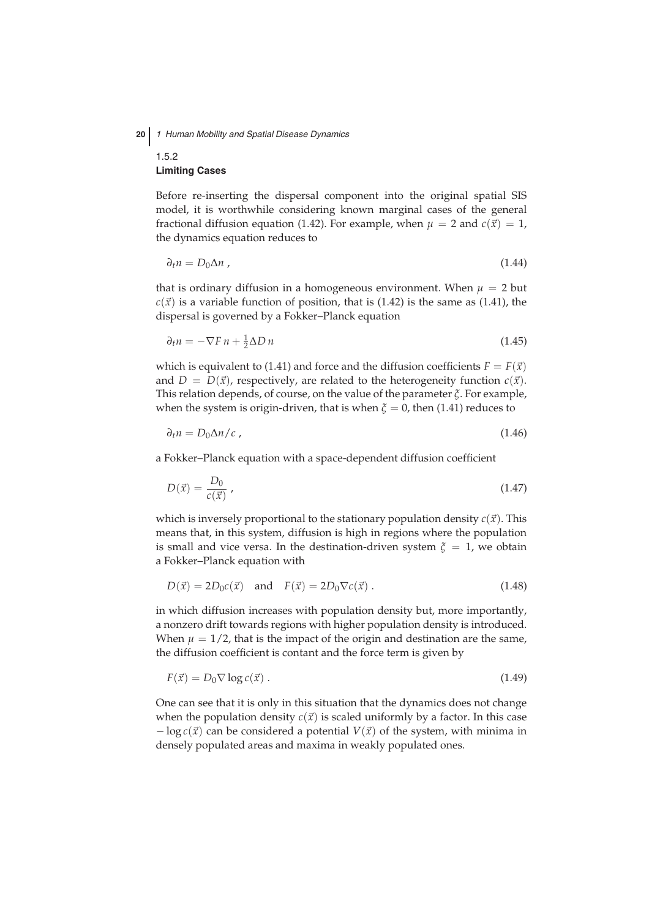## 1.5.2 **Limiting Cases**

Before re-inserting the dispersal component into the original spatial SIS model, it is worthwhile considering known marginal cases of the general fractional diffusion equation (1.42). For example, when  $\mu = 2$  and  $c(\vec{x}) = 1$ , the dynamics equation reduces to

$$
\partial_t n = D_0 \Delta n \tag{1.44}
$$

that is ordinary diffusion in a homogeneous environment. When  $\mu = 2$  but  $c(\vec{x})$  is a variable function of position, that is (1.42) is the same as (1.41), the dispersal is governed by a Fokker–Planck equation

$$
\partial_t n = -\nabla F n + \frac{1}{2} \Delta D n \tag{1.45}
$$

which is equivalent to (1.41) and force and the diffusion coefficients  $F = F(\vec{x})$ and  $D = D(\vec{x})$ , respectively, are related to the heterogeneity function  $c(\vec{x})$ . This relation depends, of course, on the value of the parameter *ξ*. For example, when the system is origin-driven, that is when  $\xi = 0$ , then (1.41) reduces to

$$
\partial_t n = D_0 \Delta n / c \tag{1.46}
$$

a Fokker–Planck equation with a space-dependent diffusion coefficient

$$
D(\vec{x}) = \frac{D_0}{c(\vec{x})},\tag{1.47}
$$

which is inversely proportional to the stationary population density  $c(\vec{x})$ . This means that, in this system, diffusion is high in regions where the population is small and vice versa. In the destination-driven system  $\xi = 1$ , we obtain a Fokker–Planck equation with

$$
D(\vec{x}) = 2D_0c(\vec{x}) \quad \text{and} \quad F(\vec{x}) = 2D_0\nabla c(\vec{x}). \tag{1.48}
$$

in which diffusion increases with population density but, more importantly, a nonzero drift towards regions with higher population density is introduced. When  $\mu = 1/2$ , that is the impact of the origin and destination are the same, the diffusion coefficient is contant and the force term is given by

$$
F(\vec{x}) = D_0 \nabla \log c(\vec{x}). \qquad (1.49)
$$

One can see that it is only in this situation that the dynamics does not change when the population density  $c(\vec{x})$  is scaled uniformly by a factor. In this case − log *c*(*x*) can be considered a potential *V*(*x*) of the system, with minima in densely populated areas and maxima in weakly populated ones.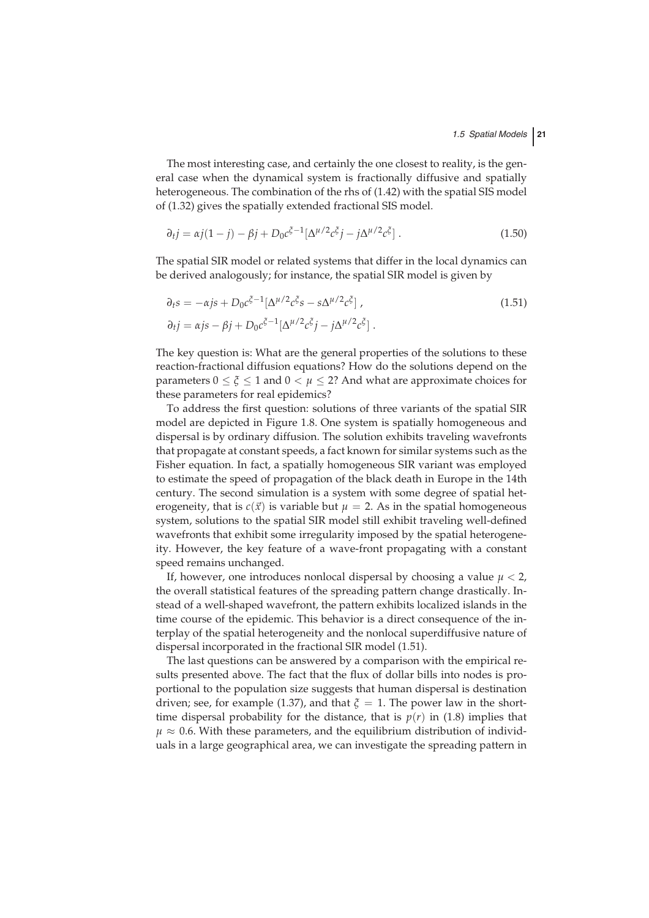The most interesting case, and certainly the one closest to reality, is the general case when the dynamical system is fractionally diffusive and spatially heterogeneous. The combination of the rhs of (1.42) with the spatial SIS model of (1.32) gives the spatially extended fractional SIS model.

$$
\partial_{t} j = \alpha j (1 - j) - \beta j + D_{0} c^{\xi - 1} [\Delta^{\mu/2} c^{\xi} j - j \Delta^{\mu/2} c^{\xi}]. \qquad (1.50)
$$

The spatial SIR model or related systems that differ in the local dynamics can be derived analogously; for instance, the spatial SIR model is given by

$$
\partial_t s = -\alpha j s + D_0 c^{\xi - 1} [\Delta^{\mu/2} c^{\xi} s - s \Delta^{\mu/2} c^{\xi}] ,
$$
  
\n
$$
\partial_t j = \alpha j s - \beta j + D_0 c^{\xi - 1} [\Delta^{\mu/2} c^{\xi} j - j \Delta^{\mu/2} c^{\xi} ] .
$$
\n(1.51)

The key question is: What are the general properties of the solutions to these reaction-fractional diffusion equations? How do the solutions depend on the parameters  $0 \le \zeta \le 1$  and  $0 \le \mu \le 2$ ? And what are approximate choices for these parameters for real epidemics?

To address the first question: solutions of three variants of the spatial SIR model are depicted in Figure 1.8. One system is spatially homogeneous and dispersal is by ordinary diffusion. The solution exhibits traveling wavefronts that propagate at constant speeds, a fact known for similar systems such as the Fisher equation. In fact, a spatially homogeneous SIR variant was employed to estimate the speed of propagation of the black death in Europe in the 14th century. The second simulation is a system with some degree of spatial heterogeneity, that is  $c(\vec{x})$  is variable but  $\mu = 2$ . As in the spatial homogeneous system, solutions to the spatial SIR model still exhibit traveling well-defined wavefronts that exhibit some irregularity imposed by the spatial heterogeneity. However, the key feature of a wave-front propagating with a constant speed remains unchanged.

If, however, one introduces nonlocal dispersal by choosing a value  $\mu < 2$ , the overall statistical features of the spreading pattern change drastically. Instead of a well-shaped wavefront, the pattern exhibits localized islands in the time course of the epidemic. This behavior is a direct consequence of the interplay of the spatial heterogeneity and the nonlocal superdiffusive nature of dispersal incorporated in the fractional SIR model (1.51).

The last questions can be answered by a comparison with the empirical results presented above. The fact that the flux of dollar bills into nodes is proportional to the population size suggests that human dispersal is destination driven; see, for example (1.37), and that  $\xi = 1$ . The power law in the shorttime dispersal probability for the distance, that is  $p(r)$  in (1.8) implies that  $\mu \approx 0.6$ . With these parameters, and the equilibrium distribution of individuals in a large geographical area, we can investigate the spreading pattern in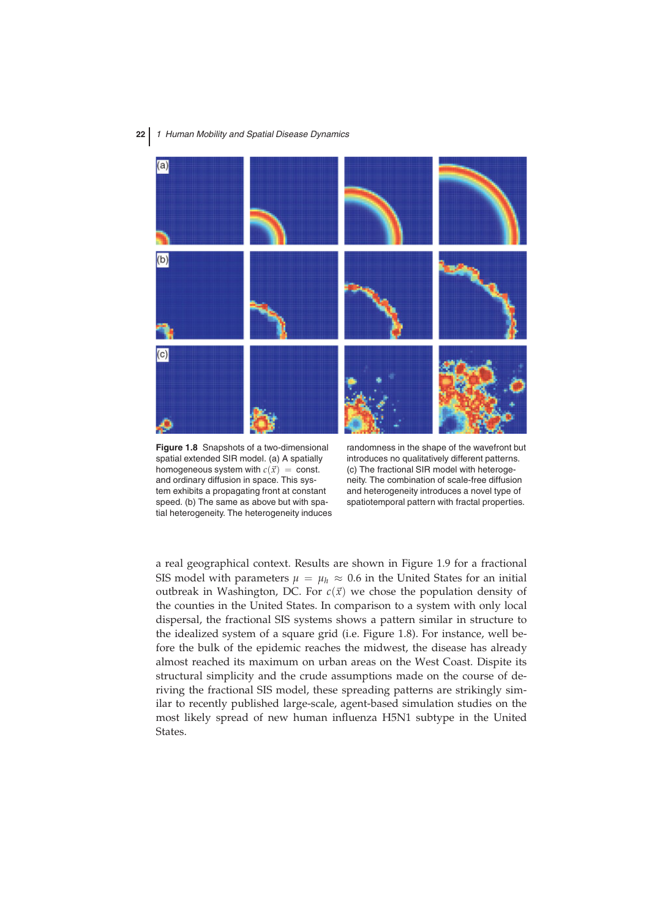

**Figure 1.8** Snapshots of a two-dimensional spatial extended SIR model. (a) A spatially homogeneous system with  $c(\vec{x}) = \text{const.}$ and ordinary diffusion in space. This system exhibits a propagating front at constant speed. (b) The same as above but with spatial heterogeneity. The heterogeneity induces

randomness in the shape of the wavefront but introduces no qualitatively different patterns. (c) The fractional SIR model with heterogeneity. The combination of scale-free diffusion and heterogeneity introduces a novel type of spatiotemporal pattern with fractal properties.

a real geographical context. Results are shown in Figure 1.9 for a fractional SIS model with parameters  $\mu = \mu_h \approx 0.6$  in the United States for an initial outbreak in Washington, DC. For  $c(\vec{x})$  we chose the population density of the counties in the United States. In comparison to a system with only local dispersal, the fractional SIS systems shows a pattern similar in structure to the idealized system of a square grid (i.e. Figure 1.8). For instance, well before the bulk of the epidemic reaches the midwest, the disease has already almost reached its maximum on urban areas on the West Coast. Dispite its structural simplicity and the crude assumptions made on the course of deriving the fractional SIS model, these spreading patterns are strikingly similar to recently published large-scale, agent-based simulation studies on the most likely spread of new human influenza H5N1 subtype in the United States.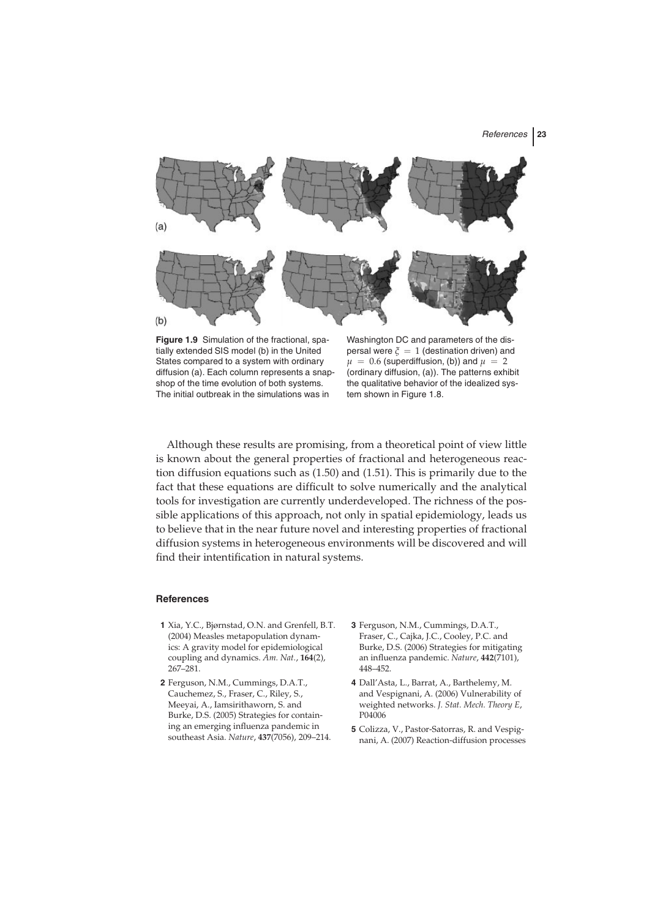

**Figure 1.9** Simulation of the fractional, spatially extended SIS model (b) in the United States compared to a system with ordinary diffusion (a). Each column represents a snapshop of the time evolution of both systems. The initial outbreak in the simulations was in

Washington DC and parameters of the dispersal were  $\zeta = 1$  (destination driven) and  $\mu = 0.6$  (superdiffusion, (b)) and  $\mu = 2$ (ordinary diffusion, (a)). The patterns exhibit the qualitative behavior of the idealized system shown in Figure 1.8.

Although these results are promising, from a theoretical point of view little is known about the general properties of fractional and heterogeneous reaction diffusion equations such as (1.50) and (1.51). This is primarily due to the fact that these equations are difficult to solve numerically and the analytical tools for investigation are currently underdeveloped. The richness of the possible applications of this approach, not only in spatial epidemiology, leads us to believe that in the near future novel and interesting properties of fractional diffusion systems in heterogeneous environments will be discovered and will find their intentification in natural systems.

#### **References**

- **1** Xia, Y.C., Bjørnstad, O.N. and Grenfell, B.T. (2004) Measles metapopulation dynamics: A gravity model for epidemiological coupling and dynamics. *Am. Nat.*, **164**(2), 267–281.
- **2** Ferguson, N.M., Cummings, D.A.T., Cauchemez, S., Fraser, C., Riley, S., Meeyai, A., Iamsirithaworn, S. and Burke, D.S. (2005) Strategies for containing an emerging influenza pandemic in southeast Asia. *Nature*, **437**(7056), 209–214.
- **3** Ferguson, N.M., Cummings, D.A.T., Fraser, C., Cajka, J.C., Cooley, P.C. and Burke, D.S. (2006) Strategies for mitigating an influenza pandemic. *Nature*, **442**(7101), 448–452.
- **4** Dall'Asta, L., Barrat, A., Barthelemy, M. and Vespignani, A. (2006) Vulnerability of weighted networks. *J. Stat. Mech. Theory E*, P04006
- **5** Colizza, V., Pastor-Satorras, R. and Vespignani, A. (2007) Reaction-diffusion processes